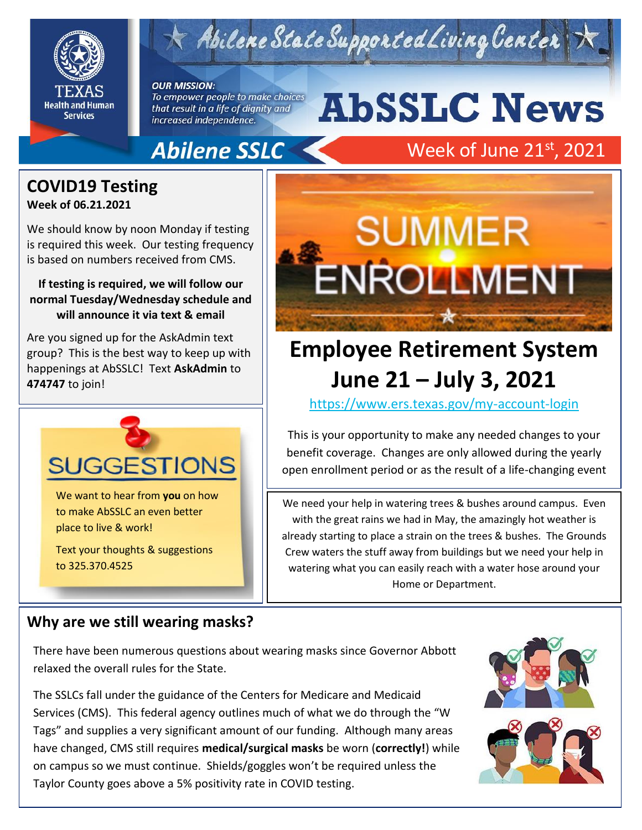

# Abilene State Supported Living Center

**OUR MISSION:** To empower people to make choices

that result in a life of dignity and increased independence.

# **AbSSLC News**

### **Abilene SSLC**

### Week of June  $21^{\rm st}$ , 2021

### **COVID19 Testing**

**Week of 06.21.2021** 

We should know by noon Monday if testing is required this week. Our testing frequency is based on numbers received from CMS.

#### **If testing is required, we will follow our normal Tuesday/Wednesday schedule and will announce it via text & email**

Are you signed up for the AskAdmin text group? This is the best way to keep up with happenings at AbSSLC! Text **AskAdmin** to **474747** to join!



We want to hear from **you** on how to make AbSSLC an even better place to live & work!

Text your thoughts & suggestions to 325.370.4525



## **Employee Retirement System June 21 – July 3, 2021**

2019 <https://www.ers.texas.gov/my-account-login>

This is your opportunity to make any needed changes to your benefit coverage. Changes are only allowed during the yearly open enrollment period or as the result of a life-changing event

We need your help in watering trees & bushes around campus. Even with the great rains we had in May, the amazingly hot weather is already starting to place a strain on the trees & bushes. The Grounds Crew waters the stuff away from buildings but we need your help in watering what you can easily reach with a water hose around your Home or Department.

#### **Why are we still wearing masks?**

There have been numerous questions about wearing masks since Governor Abbott relaxed the overall rules for the State.

The SSLCs fall under the guidance of the Centers for Medicare and Medicaid Services (CMS). This federal agency outlines much of what we do through the "W Tags" and supplies a very significant amount of our funding. Although many areas have changed, CMS still requires **medical/surgical masks** be worn (**correctly!**) while on campus so we must continue. Shields/goggles won't be required unless the Taylor County goes above a 5% positivity rate in COVID testing.